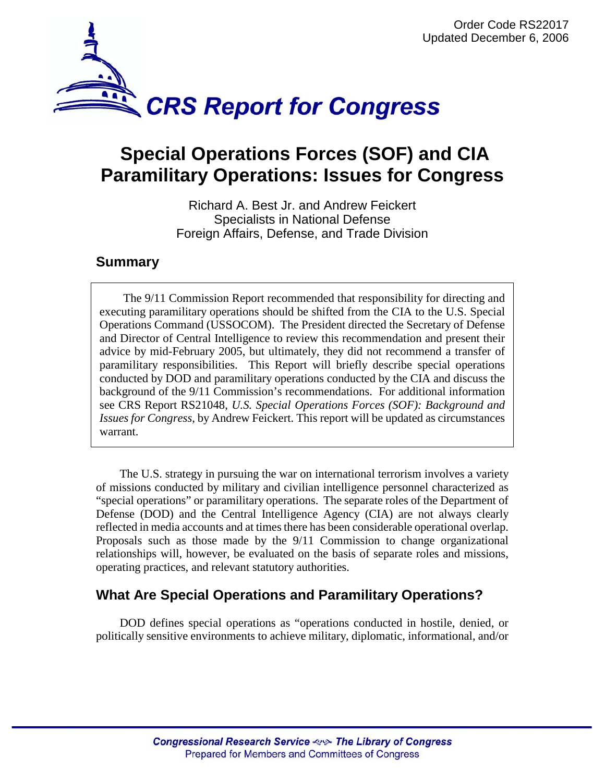

# **Special Operations Forces (SOF) and CIA Paramilitary Operations: Issues for Congress**

Richard A. Best Jr. and Andrew Feickert Specialists in National Defense Foreign Affairs, Defense, and Trade Division

## **Summary**

The 9/11 Commission Report recommended that responsibility for directing and executing paramilitary operations should be shifted from the CIA to the U.S. Special Operations Command (USSOCOM). The President directed the Secretary of Defense and Director of Central Intelligence to review this recommendation and present their advice by mid-February 2005, but ultimately, they did not recommend a transfer of paramilitary responsibilities. This Report will briefly describe special operations conducted by DOD and paramilitary operations conducted by the CIA and discuss the background of the 9/11 Commission's recommendations. For additional information see CRS Report RS21048, *U.S. Special Operations Forces (SOF): Background and Issues for Congress*, by Andrew Feickert. This report will be updated as circumstances warrant.

The U.S. strategy in pursuing the war on international terrorism involves a variety of missions conducted by military and civilian intelligence personnel characterized as "special operations" or paramilitary operations. The separate roles of the Department of Defense (DOD) and the Central Intelligence Agency (CIA) are not always clearly reflected in media accounts and at times there has been considerable operational overlap. Proposals such as those made by the 9/11 Commission to change organizational relationships will, however, be evaluated on the basis of separate roles and missions, operating practices, and relevant statutory authorities.

# **What Are Special Operations and Paramilitary Operations?**

DOD defines special operations as "operations conducted in hostile, denied, or politically sensitive environments to achieve military, diplomatic, informational, and/or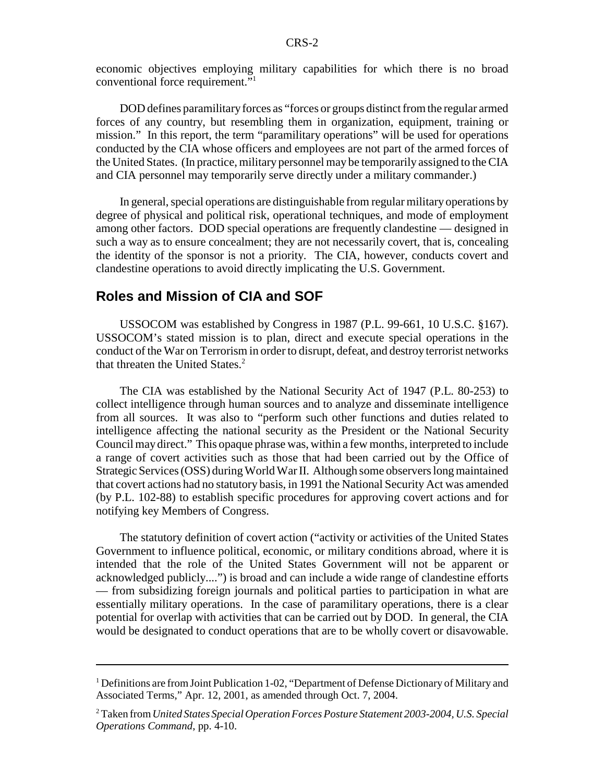economic objectives employing military capabilities for which there is no broad conventional force requirement."1

DOD defines paramilitary forces as "forces or groups distinct from the regular armed forces of any country, but resembling them in organization, equipment, training or mission." In this report, the term "paramilitary operations" will be used for operations conducted by the CIA whose officers and employees are not part of the armed forces of the United States. (In practice, military personnel may be temporarily assigned to the CIA and CIA personnel may temporarily serve directly under a military commander.)

In general, special operations are distinguishable from regular military operations by degree of physical and political risk, operational techniques, and mode of employment among other factors. DOD special operations are frequently clandestine — designed in such a way as to ensure concealment; they are not necessarily covert, that is, concealing the identity of the sponsor is not a priority. The CIA, however, conducts covert and clandestine operations to avoid directly implicating the U.S. Government.

### **Roles and Mission of CIA and SOF**

USSOCOM was established by Congress in 1987 (P.L. 99-661, 10 U.S.C. §167). USSOCOM's stated mission is to plan, direct and execute special operations in the conduct of the War on Terrorism in order to disrupt, defeat, and destroy terrorist networks that threaten the United States.<sup>2</sup>

The CIA was established by the National Security Act of 1947 (P.L. 80-253) to collect intelligence through human sources and to analyze and disseminate intelligence from all sources. It was also to "perform such other functions and duties related to intelligence affecting the national security as the President or the National Security Council may direct." This opaque phrase was, within a few months, interpreted to include a range of covert activities such as those that had been carried out by the Office of Strategic Services (OSS) during World War II. Although some observers long maintained that covert actions had no statutory basis, in 1991 the National Security Act was amended (by P.L. 102-88) to establish specific procedures for approving covert actions and for notifying key Members of Congress.

The statutory definition of covert action ("activity or activities of the United States Government to influence political, economic, or military conditions abroad, where it is intended that the role of the United States Government will not be apparent or acknowledged publicly....") is broad and can include a wide range of clandestine efforts — from subsidizing foreign journals and political parties to participation in what are essentially military operations. In the case of paramilitary operations, there is a clear potential for overlap with activities that can be carried out by DOD. In general, the CIA would be designated to conduct operations that are to be wholly covert or disavowable.

<sup>&</sup>lt;sup>1</sup> Definitions are from Joint Publication 1-02, "Department of Defense Dictionary of Military and Associated Terms," Apr. 12, 2001, as amended through Oct. 7, 2004.

<sup>2</sup> Taken from *United States Special Operation Forces Posture Statement 2003-2004, U.S. Special Operations Command*, pp. 4-10.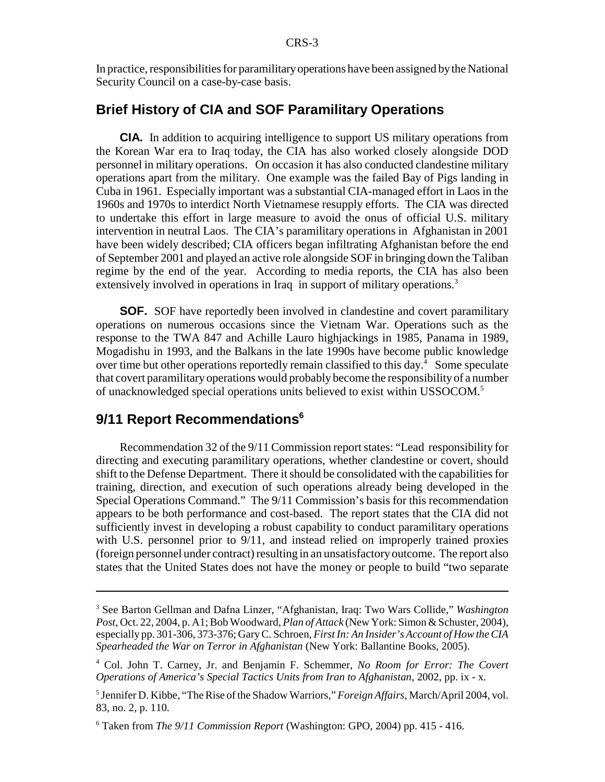In practice, responsibilities for paramilitary operations have been assigned by the National Security Council on a case-by-case basis.

## **Brief History of CIA and SOF Paramilitary Operations**

**CIA.** In addition to acquiring intelligence to support US military operations from the Korean War era to Iraq today, the CIA has also worked closely alongside DOD personnel in military operations. On occasion it has also conducted clandestine military operations apart from the military. One example was the failed Bay of Pigs landing in Cuba in 1961. Especially important was a substantial CIA-managed effort in Laos in the 1960s and 1970s to interdict North Vietnamese resupply efforts. The CIA was directed to undertake this effort in large measure to avoid the onus of official U.S. military intervention in neutral Laos. The CIA's paramilitary operations in Afghanistan in 2001 have been widely described; CIA officers began infiltrating Afghanistan before the end of September 2001 and played an active role alongside SOF in bringing down the Taliban regime by the end of the year. According to media reports, the CIA has also been extensively involved in operations in Iraq in support of military operations.<sup>3</sup>

**SOF.** SOF have reportedly been involved in clandestine and covert paramilitary operations on numerous occasions since the Vietnam War. Operations such as the response to the TWA 847 and Achille Lauro highjackings in 1985, Panama in 1989, Mogadishu in 1993, and the Balkans in the late 1990s have become public knowledge over time but other operations reportedly remain classified to this day.<sup>4</sup> Some speculate that covert paramilitary operations would probably become the responsibility of a number of unacknowledged special operations units believed to exist within USSOCOM.5

## **9/11 Report Recommendations6**

Recommendation 32 of the 9/11 Commission report states: "Lead responsibility for directing and executing paramilitary operations, whether clandestine or covert, should shift to the Defense Department. There it should be consolidated with the capabilities for training, direction, and execution of such operations already being developed in the Special Operations Command." The 9/11 Commission's basis for this recommendation appears to be both performance and cost-based. The report states that the CIA did not sufficiently invest in developing a robust capability to conduct paramilitary operations with U.S. personnel prior to  $9/11$ , and instead relied on improperly trained proxies (foreign personnel under contract) resulting in an unsatisfactory outcome. The report also states that the United States does not have the money or people to build "two separate

<sup>3</sup> See Barton Gellman and Dafna Linzer, "Afghanistan, Iraq: Two Wars Collide," *Washington Post*, Oct. 22, 2004, p. A1; Bob Woodward, *Plan of Attack* (New York: Simon & Schuster, 2004), especially pp. 301-306, 373-376; Gary C. Schroen, *First In: An Insider's Account of How the CIA Spearheaded the War on Terror in Afghanistan* (New York: Ballantine Books, 2005).

<sup>4</sup> Col. John T. Carney, Jr. and Benjamin F. Schemmer, *No Room for Error: The Covert Operations of America's Special Tactics Units from Iran to Afghanistan*, 2002, pp. ix - x.

<sup>5</sup> Jennifer D. Kibbe, "The Rise of the Shadow Warriors," *Foreign Affairs,* March/April 2004, vol. 83, no. 2, p. 110.

<sup>6</sup> Taken from *The 9/11 Commission Report* (Washington: GPO, 2004) pp. 415 - 416.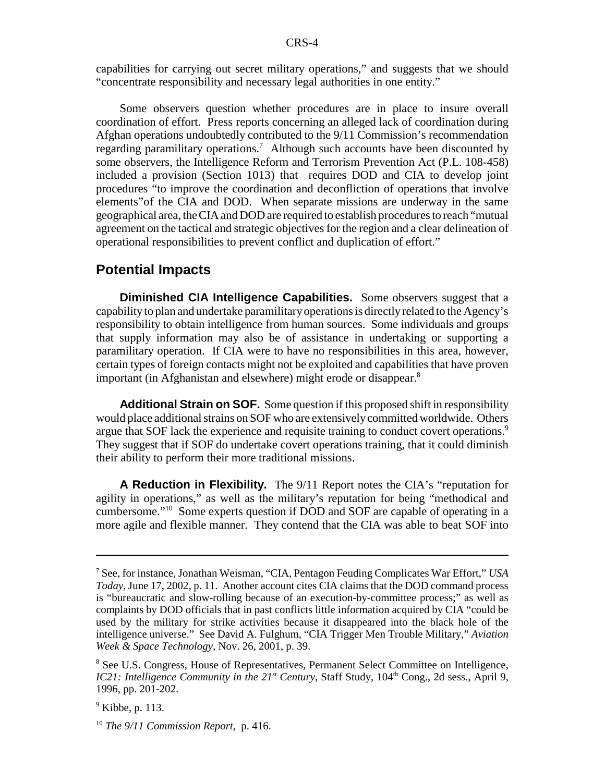capabilities for carrying out secret military operations," and suggests that we should "concentrate responsibility and necessary legal authorities in one entity."

Some observers question whether procedures are in place to insure overall coordination of effort. Press reports concerning an alleged lack of coordination during Afghan operations undoubtedly contributed to the 9/11 Commission's recommendation regarding paramilitary operations.<sup>7</sup> Although such accounts have been discounted by some observers, the Intelligence Reform and Terrorism Prevention Act (P.L. 108-458) included a provision (Section 1013) that requires DOD and CIA to develop joint procedures "to improve the coordination and deconfliction of operations that involve elements"of the CIA and DOD. When separate missions are underway in the same geographical area, the CIA and DOD are required to establish procedures to reach "mutual agreement on the tactical and strategic objectives for the region and a clear delineation of operational responsibilities to prevent conflict and duplication of effort."

### **Potential Impacts**

**Diminished CIA Intelligence Capabilities.** Some observers suggest that a capability to plan and undertake paramilitary operations is directly related to the Agency's responsibility to obtain intelligence from human sources. Some individuals and groups that supply information may also be of assistance in undertaking or supporting a paramilitary operation. If CIA were to have no responsibilities in this area, however, certain types of foreign contacts might not be exploited and capabilities that have proven important (in Afghanistan and elsewhere) might erode or disappear.<sup>8</sup>

**Additional Strain on SOF.** Some question if this proposed shift in responsibility would place additional strains on SOF who are extensively committed worldwide. Others argue that SOF lack the experience and requisite training to conduct covert operations.<sup>9</sup> They suggest that if SOF do undertake covert operations training, that it could diminish their ability to perform their more traditional missions.

**A Reduction in Flexibility.** The 9/11 Report notes the CIA's "reputation for agility in operations," as well as the military's reputation for being "methodical and cumbersome."10 Some experts question if DOD and SOF are capable of operating in a more agile and flexible manner. They contend that the CIA was able to beat SOF into

<sup>7</sup> See, for instance, Jonathan Weisman, "CIA, Pentagon Feuding Complicates War Effort," *USA Today*, June 17, 2002, p. 11. Another account cites CIA claims that the DOD command process is "bureaucratic and slow-rolling because of an execution-by-committee process;" as well as complaints by DOD officials that in past conflicts little information acquired by CIA "could be used by the military for strike activities because it disappeared into the black hole of the intelligence universe." See David A. Fulghum, "CIA Trigger Men Trouble Military," *Aviation Week & Space Technology*, Nov. 26, 2001, p. 39.

<sup>&</sup>lt;sup>8</sup> See U.S. Congress, House of Representatives, Permanent Select Committee on Intelligence, *IC21: Intelligence Community in the 21<sup>st</sup> Century*, Staff Study, 104<sup>th</sup> Cong., 2d sess., April 9, 1996, pp. 201-202.

 $<sup>9</sup>$  Kibbe, p. 113.</sup>

<sup>10</sup> *The 9/11 Commission Report*, p. 416.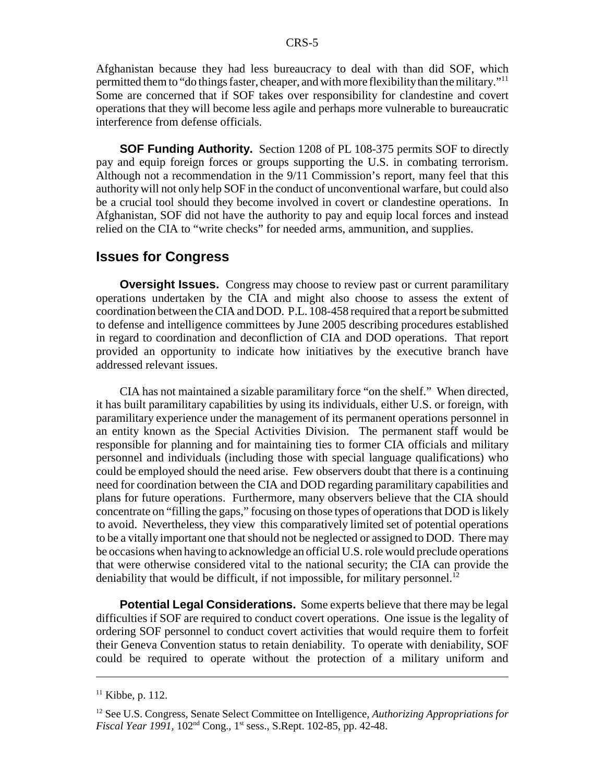Afghanistan because they had less bureaucracy to deal with than did SOF, which permitted them to "do things faster, cheaper, and with more flexibility than the military."11 Some are concerned that if SOF takes over responsibility for clandestine and covert operations that they will become less agile and perhaps more vulnerable to bureaucratic interference from defense officials.

**SOF Funding Authority.** Section 1208 of PL 108-375 permits SOF to directly pay and equip foreign forces or groups supporting the U.S. in combating terrorism. Although not a recommendation in the 9/11 Commission's report, many feel that this authority will not only help SOF in the conduct of unconventional warfare, but could also be a crucial tool should they become involved in covert or clandestine operations. In Afghanistan, SOF did not have the authority to pay and equip local forces and instead relied on the CIA to "write checks" for needed arms, ammunition, and supplies.

#### **Issues for Congress**

**Oversight Issues.** Congress may choose to review past or current paramilitary operations undertaken by the CIA and might also choose to assess the extent of coordination between the CIA and DOD. P.L. 108-458 required that a report be submitted to defense and intelligence committees by June 2005 describing procedures established in regard to coordination and deconfliction of CIA and DOD operations. That report provided an opportunity to indicate how initiatives by the executive branch have addressed relevant issues.

CIA has not maintained a sizable paramilitary force "on the shelf." When directed, it has built paramilitary capabilities by using its individuals, either U.S. or foreign, with paramilitary experience under the management of its permanent operations personnel in an entity known as the Special Activities Division. The permanent staff would be responsible for planning and for maintaining ties to former CIA officials and military personnel and individuals (including those with special language qualifications) who could be employed should the need arise. Few observers doubt that there is a continuing need for coordination between the CIA and DOD regarding paramilitary capabilities and plans for future operations. Furthermore, many observers believe that the CIA should concentrate on "filling the gaps," focusing on those types of operations that DOD is likely to avoid. Nevertheless, they view this comparatively limited set of potential operations to be a vitally important one that should not be neglected or assigned to DOD. There may be occasions when having to acknowledge an official U.S. role would preclude operations that were otherwise considered vital to the national security; the CIA can provide the deniability that would be difficult, if not impossible, for military personnel.<sup>12</sup>

**Potential Legal Considerations.** Some experts believe that there may be legal difficulties if SOF are required to conduct covert operations. One issue is the legality of ordering SOF personnel to conduct covert activities that would require them to forfeit their Geneva Convention status to retain deniability. To operate with deniability, SOF could be required to operate without the protection of a military uniform and

 $11$  Kibbe, p. 112.

<sup>12</sup> See U.S. Congress, Senate Select Committee on Intelligence, *Authorizing Appropriations for Fiscal Year 1991*, 102<sup>nd</sup> Cong., 1<sup>st</sup> sess., S.Rept. 102-85, pp. 42-48.